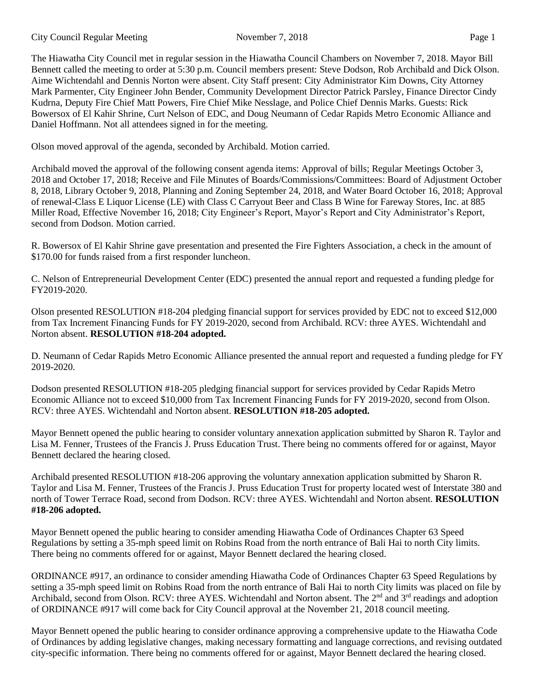The Hiawatha City Council met in regular session in the Hiawatha Council Chambers on November 7, 2018. Mayor Bill Bennett called the meeting to order at 5:30 p.m. Council members present: Steve Dodson, Rob Archibald and Dick Olson. Aime Wichtendahl and Dennis Norton were absent. City Staff present: City Administrator Kim Downs, City Attorney Mark Parmenter, City Engineer John Bender, Community Development Director Patrick Parsley, Finance Director Cindy Kudrna, Deputy Fire Chief Matt Powers, Fire Chief Mike Nesslage, and Police Chief Dennis Marks. Guests: Rick Bowersox of El Kahir Shrine, Curt Nelson of EDC, and Doug Neumann of Cedar Rapids Metro Economic Alliance and Daniel Hoffmann. Not all attendees signed in for the meeting.

Olson moved approval of the agenda, seconded by Archibald. Motion carried.

Archibald moved the approval of the following consent agenda items: Approval of bills; Regular Meetings October 3, 2018 and October 17, 2018; Receive and File Minutes of Boards/Commissions/Committees: Board of Adjustment October 8, 2018, Library October 9, 2018, Planning and Zoning September 24, 2018, and Water Board October 16, 2018; Approval of renewal-Class E Liquor License (LE) with Class C Carryout Beer and Class B Wine for Fareway Stores, Inc. at 885 Miller Road, Effective November 16, 2018; City Engineer's Report, Mayor's Report and City Administrator's Report, second from Dodson. Motion carried.

R. Bowersox of El Kahir Shrine gave presentation and presented the Fire Fighters Association, a check in the amount of \$170.00 for funds raised from a first responder luncheon.

C. Nelson of Entrepreneurial Development Center (EDC) presented the annual report and requested a funding pledge for FY2019-2020.

Olson presented RESOLUTION #18-204 pledging financial support for services provided by EDC not to exceed \$12,000 from Tax Increment Financing Funds for FY 2019-2020, second from Archibald. RCV: three AYES. Wichtendahl and Norton absent. **RESOLUTION #18-204 adopted.**

D. Neumann of Cedar Rapids Metro Economic Alliance presented the annual report and requested a funding pledge for FY 2019-2020.

Dodson presented RESOLUTION #18-205 pledging financial support for services provided by Cedar Rapids Metro Economic Alliance not to exceed \$10,000 from Tax Increment Financing Funds for FY 2019-2020, second from Olson. RCV: three AYES. Wichtendahl and Norton absent. **RESOLUTION #18-205 adopted.**

Mayor Bennett opened the public hearing to consider voluntary annexation application submitted by Sharon R. Taylor and Lisa M. Fenner, Trustees of the Francis J. Pruss Education Trust. There being no comments offered for or against, Mayor Bennett declared the hearing closed.

Archibald presented RESOLUTION #18-206 approving the voluntary annexation application submitted by Sharon R. Taylor and Lisa M. Fenner, Trustees of the Francis J. Pruss Education Trust for property located west of Interstate 380 and north of Tower Terrace Road, second from Dodson. RCV: three AYES. Wichtendahl and Norton absent. **RESOLUTION #18-206 adopted.**

Mayor Bennett opened the public hearing to consider amending Hiawatha Code of Ordinances Chapter 63 Speed Regulations by setting a 35-mph speed limit on Robins Road from the north entrance of Bali Hai to north City limits. There being no comments offered for or against, Mayor Bennett declared the hearing closed.

ORDINANCE #917, an ordinance to consider amending Hiawatha Code of Ordinances Chapter 63 Speed Regulations by setting a 35-mph speed limit on Robins Road from the north entrance of Bali Hai to north City limits was placed on file by Archibald, second from Olson. RCV: three AYES. Wichtendahl and Norton absent. The 2<sup>nd</sup> and 3<sup>rd</sup> readings and adoption of ORDINANCE #917 will come back for City Council approval at the November 21, 2018 council meeting.

Mayor Bennett opened the public hearing to consider ordinance approving a comprehensive update to the Hiawatha Code of Ordinances by adding legislative changes, making necessary formatting and language corrections, and revising outdated city-specific information. There being no comments offered for or against, Mayor Bennett declared the hearing closed.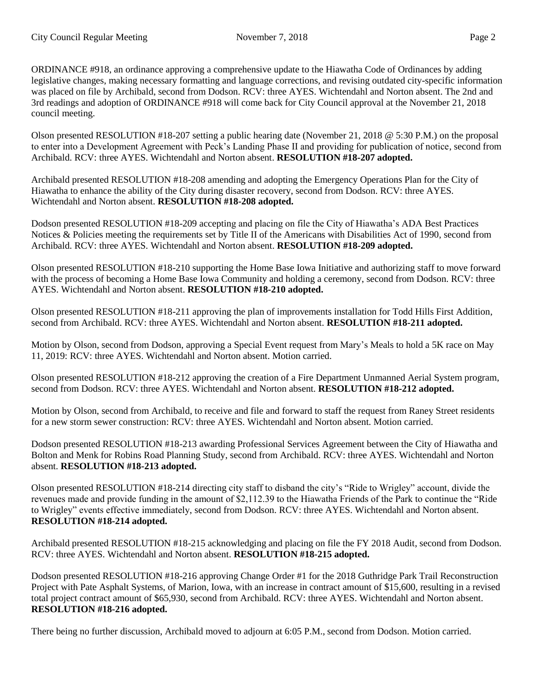ORDINANCE #918, an ordinance approving a comprehensive update to the Hiawatha Code of Ordinances by adding legislative changes, making necessary formatting and language corrections, and revising outdated city-specific information was placed on file by Archibald, second from Dodson. RCV: three AYES. Wichtendahl and Norton absent. The 2nd and 3rd readings and adoption of ORDINANCE #918 will come back for City Council approval at the November 21, 2018 council meeting.

Olson presented RESOLUTION #18-207 setting a public hearing date (November 21, 2018 @ 5:30 P.M.) on the proposal to enter into a Development Agreement with Peck's Landing Phase II and providing for publication of notice, second from Archibald. RCV: three AYES. Wichtendahl and Norton absent. **RESOLUTION #18-207 adopted.** 

Archibald presented RESOLUTION #18-208 amending and adopting the Emergency Operations Plan for the City of Hiawatha to enhance the ability of the City during disaster recovery, second from Dodson. RCV: three AYES. Wichtendahl and Norton absent. **RESOLUTION #18-208 adopted.** 

Dodson presented RESOLUTION #18-209 accepting and placing on file the City of Hiawatha's ADA Best Practices Notices & Policies meeting the requirements set by Title II of the Americans with Disabilities Act of 1990, second from Archibald. RCV: three AYES. Wichtendahl and Norton absent. **RESOLUTION #18-209 adopted.**

Olson presented RESOLUTION #18-210 supporting the Home Base Iowa Initiative and authorizing staff to move forward with the process of becoming a Home Base Iowa Community and holding a ceremony, second from Dodson. RCV: three AYES. Wichtendahl and Norton absent. **RESOLUTION #18-210 adopted.**

Olson presented RESOLUTION #18-211 approving the plan of improvements installation for Todd Hills First Addition, second from Archibald. RCV: three AYES. Wichtendahl and Norton absent. **RESOLUTION #18-211 adopted.**

Motion by Olson, second from Dodson, approving a Special Event request from Mary's Meals to hold a 5K race on May 11, 2019: RCV: three AYES. Wichtendahl and Norton absent. Motion carried.

Olson presented RESOLUTION #18-212 approving the creation of a Fire Department Unmanned Aerial System program, second from Dodson. RCV: three AYES. Wichtendahl and Norton absent. **RESOLUTION #18-212 adopted.**

Motion by Olson, second from Archibald, to receive and file and forward to staff the request from Raney Street residents for a new storm sewer construction: RCV: three AYES. Wichtendahl and Norton absent. Motion carried.

Dodson presented RESOLUTION #18-213 awarding Professional Services Agreement between the City of Hiawatha and Bolton and Menk for Robins Road Planning Study, second from Archibald. RCV: three AYES. Wichtendahl and Norton absent. **RESOLUTION #18-213 adopted.**

Olson presented RESOLUTION #18-214 directing city staff to disband the city's "Ride to Wrigley" account, divide the revenues made and provide funding in the amount of \$2,112.39 to the Hiawatha Friends of the Park to continue the "Ride to Wrigley" events effective immediately, second from Dodson. RCV: three AYES. Wichtendahl and Norton absent. **RESOLUTION #18-214 adopted.**

Archibald presented RESOLUTION #18-215 acknowledging and placing on file the FY 2018 Audit, second from Dodson. RCV: three AYES. Wichtendahl and Norton absent. **RESOLUTION #18-215 adopted.**

Dodson presented RESOLUTION #18-216 approving Change Order #1 for the 2018 Guthridge Park Trail Reconstruction Project with Pate Asphalt Systems, of Marion, Iowa, with an increase in contract amount of \$15,600, resulting in a revised total project contract amount of \$65,930, second from Archibald. RCV: three AYES. Wichtendahl and Norton absent. **RESOLUTION #18-216 adopted.**

There being no further discussion, Archibald moved to adjourn at 6:05 P.M., second from Dodson. Motion carried.